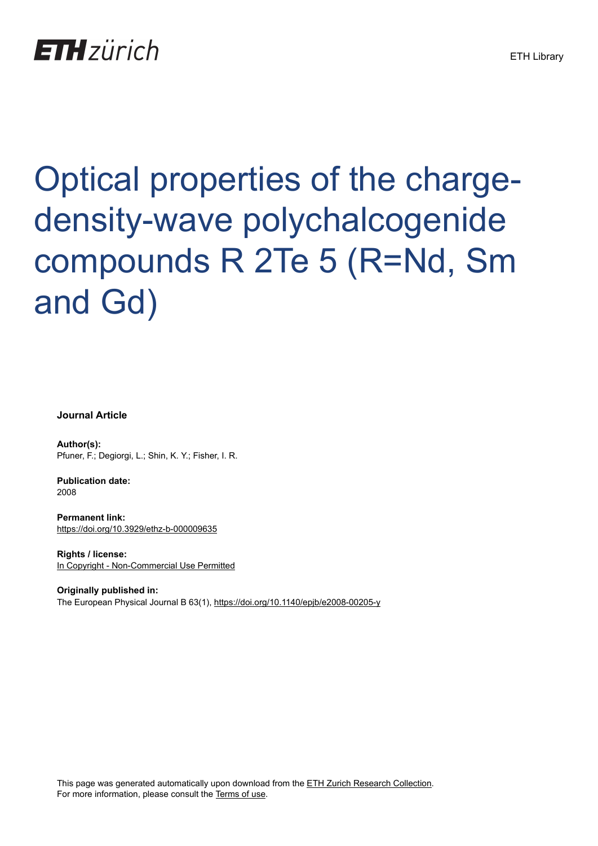## **ETH** zürich

# Optical properties of the chargedensity-wave polychalcogenide compounds R 2Te 5 (R=Nd, Sm and Gd)

**Journal Article**

**Author(s):** Pfuner, F.; Degiorgi, L.; Shin, K. Y.; Fisher, I. R.

**Publication date:** 2008

**Permanent link:** <https://doi.org/10.3929/ethz-b-000009635>

**Rights / license:** [In Copyright - Non-Commercial Use Permitted](http://rightsstatements.org/page/InC-NC/1.0/)

**Originally published in:** The European Physical Journal B 63(1),<https://doi.org/10.1140/epjb/e2008-00205-y>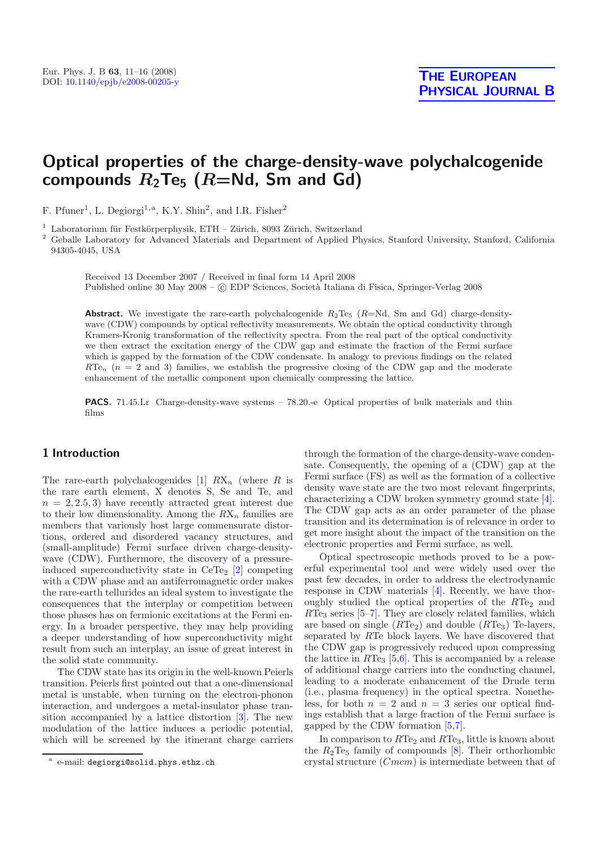### **Optical properties of the charge-density-wave polychalcogenide** compounds  $R_2$ Te<sub>5</sub> ( $R$ =Nd, Sm and Gd)

F. Pfuner<sup>1</sup>, L. Degiorgi<sup>1,a</sup>, K.Y. Shin<sup>2</sup>, and I.R. Fisher<sup>2</sup>

<sup>1</sup> Laboratorium für Festkörperphysik, ETH – Zürich, 8093 Zürich, Switzerland

<sup>2</sup> Geballe Laboratory for Advanced Materials and Department of Applied Physics, Stanford University, Stanford, California 94305-4045, USA

Received 13 December 2007 / Received in final form 14 April 2008 Published online 30 May 2008 –  $\odot$  EDP Sciences, Società Italiana di Fisica, Springer-Verlag 2008

**Abstract.** We investigate the rare-earth polychalcogenide  $R_2Te_5$  ( $R=Nd$ , Sm and Gd) charge-densitywave (CDW) compounds by optical reflectivity measurements. We obtain the optical conductivity through Kramers-Kronig transformation of the reflectivity spectra. From the real part of the optical conductivity we then extract the excitation energy of the CDW gap and estimate the fraction of the Fermi surface which is gapped by the formation of the CDW condensate. In analogy to previous findings on the related  $RTe_n$  ( $n = 2$  and 3) families, we establish the progressive closing of the CDW gap and the moderate enhancement of the metallic component upon chemically compressing the lattice.

**PACS.** 71.45.Lr Charge-density-wave systems – 78.20.-e Optical properties of bulk materials and thin films

#### **1 Introduction**

The rare-earth polychalcogenides [\[1](#page-5-0)]  $RX_n$  (where R is the rare earth element, X denotes S, Se and Te, and  $n = 2, 2.5, 3$  have recently attracted great interest due to their low dimensionality. Among the  $RX_n$  families are members that variously host large commensurate distortions, ordered and disordered vacancy structures, and (small-amplitude) Fermi surface driven charge-densitywave (CDW). Furthermore, the discovery of a pressureinduced superconductivity state in  $CeTe<sub>2</sub>$  [\[2](#page-5-1)] competing with a CDW phase and an antiferromagnetic order makes the rare-earth tellurides an ideal system to investigate the consequences that the interplay or competition between those phases has on fermionic excitations at the Fermi energy. In a broader perspective, they may help providing a deeper understanding of how superconductivity might result from such an interplay, an issue of great interest in the solid state community.

The CDW state has its origin in the well-known Peierls transition. Peierls first pointed out that a one-dimensional metal is unstable, when turning on the electron-phonon interaction, and undergoes a metal-insulator phase transition accompanied by a lattice distortion [\[3](#page-5-2)]. The new modulation of the lattice induces a periodic potential, which will be screened by the itinerant charge carriers through the formation of the charge-density-wave condensate. Consequently, the opening of a (CDW) gap at the Fermi surface (FS) as well as the formation of a collective density wave state are the two most relevant fingerprints, characterizing a CDW broken symmetry ground state [\[4\]](#page-5-3). The CDW gap acts as an order parameter of the phase transition and its determination is of relevance in order to get more insight about the impact of the transition on the electronic properties and Fermi surface, as well.

Optical spectroscopic methods proved to be a powerful experimental tool and were widely used over the past few decades, in order to address the electrodynamic response in CDW materials [\[4\]](#page-5-3). Recently, we have thoroughly studied the optical properties of the  $RTe<sub>2</sub>$  and  $RTe<sub>3</sub>$  series [\[5](#page-5-4)[–7\]](#page-5-5). They are closely related families, which are based on single  $(RTe_2)$  and double  $(RTe_3)$  Te-layers, separated by RTe block layers. We have discovered that the CDW gap is progressively reduced upon compressing the lattice in  $RTe<sub>3</sub>$  [\[5](#page-5-4)[,6](#page-5-6)]. This is accompanied by a release of additional charge carriers into the conducting channel, leading to a moderate enhancement of the Drude term (i.e., plasma frequency) in the optical spectra. Nonetheless, for both  $n = 2$  and  $n = 3$  series our optical findings establish that a large fraction of the Fermi surface is gapped by the CDW formation [\[5](#page-5-4)[,7\]](#page-5-5).

In comparison to  $RTe_2$  and  $RTe_3$ , little is known about the  $R_2$ Te<sub>5</sub> family of compounds  $[8]$  $[8]$ . Their orthorhombic crystal structure (Cmcm) is intermediate between that of

<sup>a</sup> e-mail: degiorgi@solid.phys.ethz.ch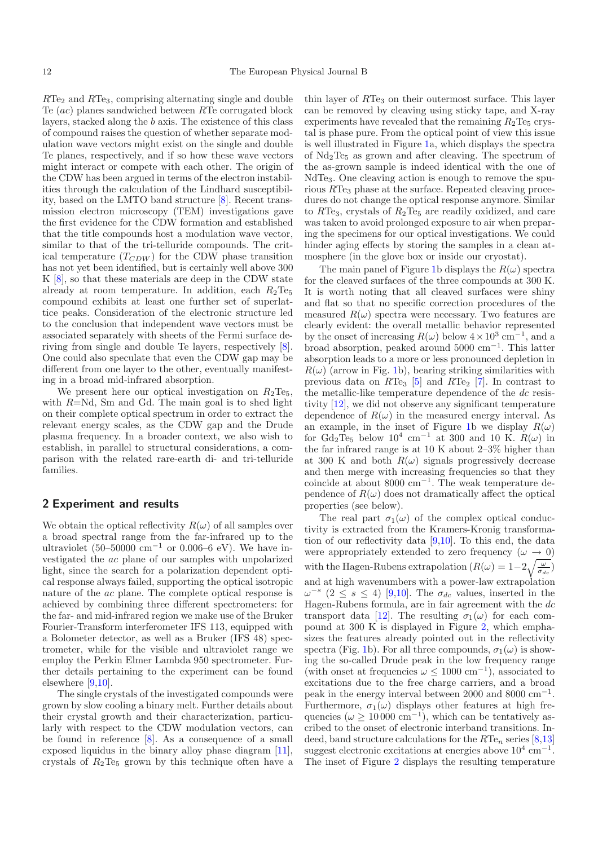$RTe<sub>2</sub>$  and  $RTe<sub>3</sub>$ , comprising alternating single and double Te (ac) planes sandwiched between RTe corrugated block layers, stacked along the b axis. The existence of this class of compound raises the question of whether separate modulation wave vectors might exist on the single and double Te planes, respectively, and if so how these wave vectors might interact or compete with each other. The origin of the CDW has been argued in terms of the electron instabilities through the calculation of the Lindhard susceptibility, based on the LMTO band structure [\[8\]](#page-5-7). Recent transmission electron microscopy (TEM) investigations gave the first evidence for the CDW formation and established that the title compounds host a modulation wave vector, similar to that of the tri-telluride compounds. The critical temperature  $(T_{CDW})$  for the CDW phase transition has not yet been identified, but is certainly well above 300 K [\[8](#page-5-7)], so that these materials are deep in the CDW state already at room temperature. In addition, each  $R_2Te_5$ compound exhibits at least one further set of superlattice peaks. Consideration of the electronic structure led to the conclusion that independent wave vectors must be associated separately with sheets of the Fermi surface deriving from single and double Te layers, respectively [\[8\]](#page-5-7). One could also speculate that even the CDW gap may be different from one layer to the other, eventually manifesting in a broad mid-infrared absorption.

We present here our optical investigation on  $R_2$ Te<sub>5</sub>, with  $R=Nd$ , Sm and Gd. The main goal is to shed light on their complete optical spectrum in order to extract the relevant energy scales, as the CDW gap and the Drude plasma frequency. In a broader context, we also wish to establish, in parallel to structural considerations, a comparison with the related rare-earth di- and tri-telluride families.

#### **2 Experiment and results**

We obtain the optical reflectivity  $R(\omega)$  of all samples over a broad spectral range from the far-infrared up to the ultraviolet (50–50000 cm<sup>-1</sup> or 0.006–6 eV). We have investigated the ac plane of our samples with unpolarized light, since the search for a polarization dependent optical response always failed, supporting the optical isotropic nature of the ac plane. The complete optical response is achieved by combining three different spectrometers: for the far- and mid-infrared region we make use of the Bruker Fourier-Transform interferometer IFS 113, equipped with a Bolometer detector, as well as a Bruker (IFS 48) spectrometer, while for the visible and ultraviolet range we employ the Perkin Elmer Lambda 950 spectrometer. Further details pertaining to the experiment can be found elsewhere [\[9](#page-5-8)[,10\]](#page-6-0).

The single crystals of the investigated compounds were grown by slow cooling a binary melt. Further details about their crystal growth and their characterization, particularly with respect to the CDW modulation vectors, can be found in reference [\[8](#page-5-7)]. As a consequence of a small exposed liquidus in the binary alloy phase diagram [\[11\]](#page-6-1), crystals of  $R_2$ Te<sub>5</sub> grown by this technique often have a thin layer of  $RTe<sub>3</sub>$  on their outermost surface. This layer can be removed by cleaving using sticky tape, and X-ray experiments have revealed that the remaining  $R_2$ Te<sub>5</sub> crystal is phase pure. From the optical point of view this issue is well illustrated in Figure [1a](#page-3-0), which displays the spectra of  $Nd<sub>2</sub>Te<sub>5</sub>$  as grown and after cleaving. The spectrum of the as-grown sample is indeed identical with the one of NdTe3. One cleaving action is enough to remove the spurious RTe<sub>3</sub> phase at the surface. Repeated cleaving procedures do not change the optical response anymore. Similar to  $RTe<sub>3</sub>$ , crystals of  $R<sub>2</sub>Te<sub>5</sub>$  are readily oxidized, and care was taken to avoid prolonged exposure to air when preparing the specimens for our optical investigations. We could hinder aging effects by storing the samples in a clean atmosphere (in the glove box or inside our cryostat).

The main panel of Figure [1b](#page-3-0) displays the  $R(\omega)$  spectra for the cleaved surfaces of the three compounds at 300 K. It is worth noting that all cleaved surfaces were shiny and flat so that no specific correction procedures of the measured  $R(\omega)$  spectra were necessary. Two features are clearly evident: the overall metallic behavior represented by the onset of increasing  $R(\omega)$  below  $4 \times 10^3$  cm<sup>-1</sup>, and a broad absorption, peaked around  $5000 \text{ cm}^{-1}$ . This latter absorption leads to a more or less pronounced depletion in  $R(\omega)$  (arrow in Fig. [1b](#page-3-0)), bearing striking similarities with previous data on  $RTe_3$  [\[5](#page-5-4)] and  $RTe_2$  [\[7](#page-5-5)]. In contrast to the metallic-like temperature dependence of the dc resistivity [\[12\]](#page-6-2), we did not observe any significant temperature dependence of  $R(\omega)$  in the measured energy interval. As an example, in the inset of Figure [1b](#page-3-0) we display  $R(\omega)$ for Gd<sub>2</sub>Te<sub>5</sub> below 10<sup>4</sup> cm<sup>-1</sup> at 300 and 10 K.  $R(\omega)$  in the far infrared range is at 10 K about 2–3% higher than at 300 K and both  $R(\omega)$  signals progressively decrease and then merge with increasing frequencies so that they coincide at about 8000 cm−<sup>1</sup>. The weak temperature dependence of  $R(\omega)$  does not dramatically affect the optical properties (see below).

The real part  $\sigma_1(\omega)$  of the complex optical conductivity is extracted from the Kramers-Kronig transformation of our reflectivity data [\[9](#page-5-8)[,10](#page-6-0)]. To this end, the data were appropriately extended to zero frequency  $(\omega \to 0)$ with the Hagen-Rubens extrapolation  $(R(\omega)=1-2\sqrt{\frac{\omega}{\sigma_{dc}}})$ and at high wavenumbers with a power-law extrapolation  $\omega^{-s}$  (2 ≤ s ≤ 4) [\[9](#page-5-8)[,10](#page-6-0)]. The  $\sigma_{dc}$  values, inserted in the Hagen-Rubens formula, are in fair agreement with the dc transport data [\[12\]](#page-6-2). The resulting  $\sigma_1(\omega)$  for each compound at 300 K is displayed in Figure [2,](#page-4-0) which emphasizes the features already pointed out in the reflectivity spectra (Fig. [1b](#page-3-0)). For all three compounds,  $\sigma_1(\omega)$  is showing the so-called Drude peak in the low frequency range (with onset at frequencies  $\omega \leq 1000 \text{ cm}^{-1}$ ), associated to excitations due to the free charge carriers, and a broad peak in the energy interval between 2000 and 8000 cm−<sup>1</sup>. Furthermore,  $\sigma_1(\omega)$  displays other features at high frequencies ( $\omega \ge 10000 \text{ cm}^{-1}$ ), which can be tentatively ascribed to the onset of electronic interband transitions. Indeed, band structure calculations for the  $RTe_n$  series [\[8](#page-5-7)[,13\]](#page-6-3) suggest electronic excitations at energies above  $10^4$  cm<sup>-1</sup>. The inset of Figure [2](#page-4-0) displays the resulting temperature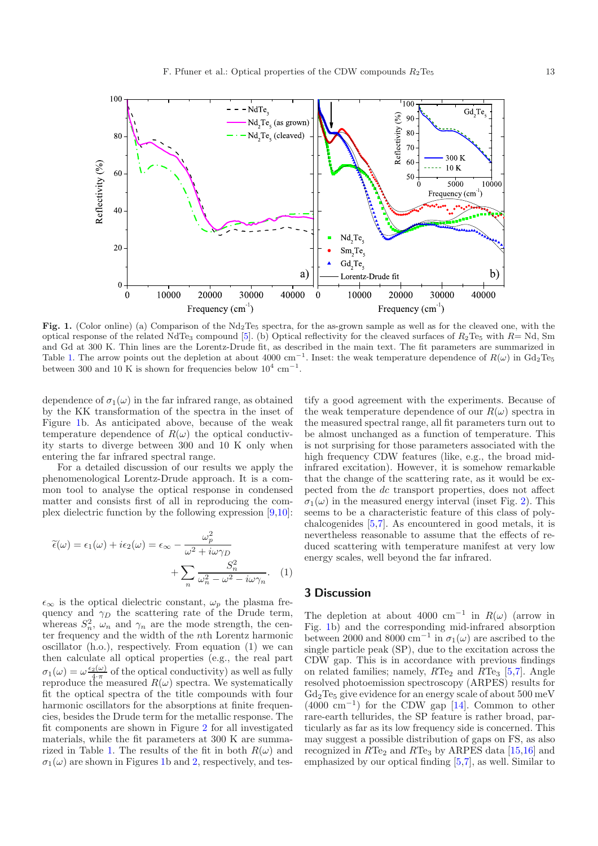<span id="page-3-0"></span>

Fig. 1. (Color online) (a) Comparison of the Nd<sub>2</sub>Te<sub>5</sub> spectra, for the as-grown sample as well as for the cleaved one, with the optical response of the related NdTe<sub>3</sub> compound [\[5](#page-5-4)]. (b) Optical reflectivity for the cleaved surfaces of  $R_2$ Te<sub>5</sub> with  $R = Nd$ , Sm and Gd at 300 K. Thin lines are the Lorentz-Drude fit, as described in the main text. The fit parameters are summarized in Table [1.](#page-4-1) The arrow points out the depletion at about 4000 cm<sup>-1</sup>. Inset: the weak temperature dependence of  $R(\omega)$  in Gd<sub>2</sub>Te<sub>5</sub> between 300 and 10 K is shown for frequencies below  $10^4$  cm<sup>-1</sup>.

dependence of  $\sigma_1(\omega)$  in the far infrared range, as obtained by the KK transformation of the spectra in the inset of Figure [1b](#page-3-0). As anticipated above, because of the weak temperature dependence of  $R(\omega)$  the optical conductivity starts to diverge between 300 and 10 K only when entering the far infrared spectral range.

For a detailed discussion of our results we apply the phenomenological Lorentz-Drude approach. It is a common tool to analyse the optical response in condensed matter and consists first of all in reproducing the complex dielectric function by the following expression [\[9](#page-5-8)[,10\]](#page-6-0):

$$
\tilde{\epsilon}(\omega) = \epsilon_1(\omega) + i\epsilon_2(\omega) = \epsilon_{\infty} - \frac{\omega_p^2}{\omega^2 + i\omega\gamma_D} + \sum_n \frac{S_n^2}{\omega_n^2 - \omega^2 - i\omega\gamma_n}.
$$
 (1)

 $\epsilon_{\infty}$  is the optical dielectric constant,  $\omega_p$  the plasma frequency and  $\gamma_D$  the scattering rate of the Drude term, whereas  $S_n^2$ ,  $\omega_n$  and  $\gamma_n$  are the mode strength, the center frequency and the width of the nth Lorentz harmonic oscillator (h.o.), respectively. From equation (1) we can then calculate all optical properties (e.g., the real part  $\sigma_1(\omega) = \omega \frac{\epsilon_2(\omega)}{4 \pi}$  of the optical conductivity) as well as fully reproduce the measured  $R(\omega)$  spectra. We systematically fit the optical spectra of the title compounds with four harmonic oscillators for the absorptions at finite frequencies, besides the Drude term for the metallic response. The fit components are shown in Figure [2](#page-4-0) for all investigated materials, while the fit parameters at 300 K are summa-rized in Table [1.](#page-4-1) The results of the fit in both  $R(\omega)$  and  $\sigma_1(\omega)$  are shown in Figures [1b](#page-3-0) and [2,](#page-4-0) respectively, and testify a good agreement with the experiments. Because of the weak temperature dependence of our  $R(\omega)$  spectra in the measured spectral range, all fit parameters turn out to be almost unchanged as a function of temperature. This is not surprising for those parameters associated with the high frequency CDW features (like, e.g., the broad midinfrared excitation). However, it is somehow remarkable that the change of the scattering rate, as it would be expected from the dc transport properties, does not affect  $\sigma_1(\omega)$  in the measured energy interval (inset Fig. [2\)](#page-4-0). This seems to be a characteristic feature of this class of polychalcogenides [\[5](#page-5-4)[,7\]](#page-5-5). As encountered in good metals, it is nevertheless reasonable to assume that the effects of reduced scattering with temperature manifest at very low energy scales, well beyond the far infrared.

#### **3 Discussion**

The depletion at about 4000 cm<sup>-1</sup> in  $R(\omega)$  (arrow in Fig. [1b](#page-4-1)) and the corresponding mid-infrared absorption between 2000 and 8000 cm<sup>-1</sup> in  $\sigma_1(\omega)$  are ascribed to the single particle peak (SP), due to the excitation across the CDW gap. This is in accordance with previous findings on related families; namely,  $RTe_2$  and  $RTe_3$  [\[5](#page-5-4)[,7\]](#page-5-5). Angle resolved photoemission spectroscopy (ARPES) results for  $Gd<sub>2</sub>Te<sub>5</sub>$  give evidence for an energy scale of about  $500 \text{ meV}$  $(4000 \text{ cm}^{-1})$  for the CDW gap [\[14\]](#page-6-4). Common to other rare-earth tellurides, the SP feature is rather broad, particularly as far as its low frequency side is concerned. This may suggest a possible distribution of gaps on FS, as also recognized in  $RTe_2$  and  $RTe_3$  by ARPES data [\[15](#page-6-5)[,16\]](#page-6-6) and emphasized by our optical finding [\[5](#page-5-4)[,7\]](#page-5-5), as well. Similar to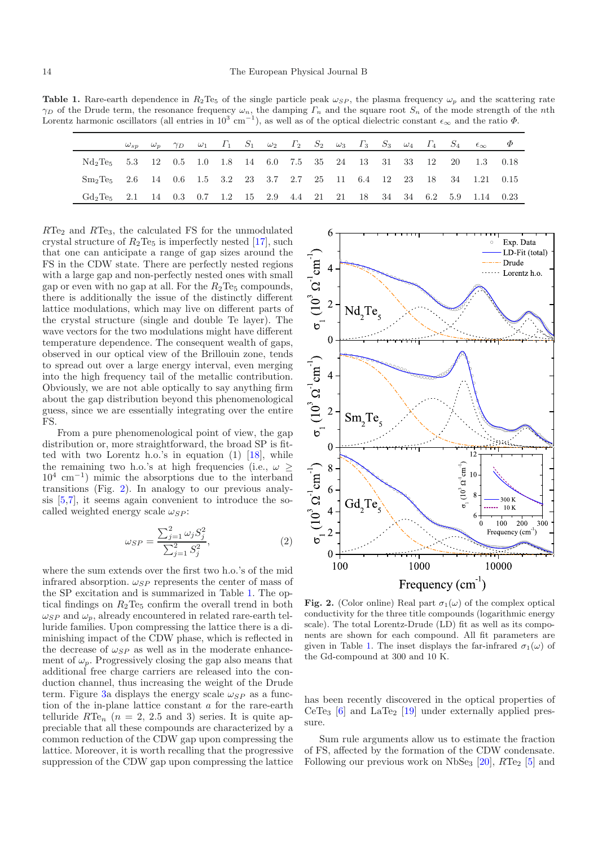<span id="page-4-1"></span>**Table 1.** Rare-earth dependence in  $R_2$ Te<sub>5</sub> of the single particle peak  $\omega_{SP}$ , the plasma frequency  $\omega_p$  and the scattering rate  $\gamma_D$  of the Drude term, the resonance frequency  $\omega_n$ , the damping  $\Gamma_n$  and the square root  $S_n$  of the mode strength of the *n*th Lorentz harmonic oscillators (all entries in  $10^3$  cm<sup>-1</sup>), as well as of the optical dielectric constant  $\epsilon_{\infty}$  and the ratio  $\Phi$ .

|                                                                                               |  |  |  |  |  |  |  | $\omega_{sp}$ $\omega_p$ $\gamma_D$ $\omega_1$ $\Gamma_1$ $S_1$ $\omega_2$ $\Gamma_2$ $S_2$ $\omega_3$ $\Gamma_3$ $S_3$ $\omega_4$ $\Gamma_4$ $S_4$ $\epsilon_{\infty}$ $\Phi$ |  |
|-----------------------------------------------------------------------------------------------|--|--|--|--|--|--|--|--------------------------------------------------------------------------------------------------------------------------------------------------------------------------------|--|
| $Nd_2Te_5$ 5.3 12 0.5 1.0 1.8 14 6.0 7.5 35 24 13 31 33 12 20 1.3 0.18                        |  |  |  |  |  |  |  |                                                                                                                                                                                |  |
| Sm <sub>2</sub> Te <sub>5</sub> 2.6 14 0.6 1.5 3.2 23 3.7 2.7 25 11 6.4 12 23 18 34 1.21 0.15 |  |  |  |  |  |  |  |                                                                                                                                                                                |  |
| $Gd_2Te_5$ 2.1 14 0.3 0.7 1.2 15 2.9 4.4 21 21 18 34 34 6.2 5.9 1.14 0.23                     |  |  |  |  |  |  |  |                                                                                                                                                                                |  |

 $RTe<sub>2</sub>$  and  $RTe<sub>3</sub>$ , the calculated FS for the unmodulated crystal structure of  $R_2$ Te<sub>5</sub> is imperfectly nested [\[17\]](#page-6-7), such that one can anticipate a range of gap sizes around the FS in the CDW state. There are perfectly nested regions with a large gap and non-perfectly nested ones with small gap or even with no gap at all. For the  $R_2Te_5$  compounds, there is additionally the issue of the distinctly different lattice modulations, which may live on different parts of the crystal structure (single and double Te layer). The wave vectors for the two modulations might have different temperature dependence. The consequent wealth of gaps, observed in our optical view of the Brillouin zone, tends to spread out over a large energy interval, even merging into the high frequency tail of the metallic contribution. Obviously, we are not able optically to say anything firm about the gap distribution beyond this phenomenological guess, since we are essentially integrating over the entire FS.

From a pure phenomenological point of view, the gap distribution or, more straightforward, the broad SP is fitted with two Lorentz h.o.'s in equation (1) [\[18](#page-6-8)], while the remaining two h.o.'s at high frequencies (i.e.,  $\omega \geq$  $10^4$  cm<sup>-1</sup>) mimic the absorptions due to the interband transitions (Fig. [2\)](#page-4-0). In analogy to our previous analysis [\[5](#page-5-4)[,7\]](#page-5-5), it seems again convenient to introduce the socalled weighted energy scale  $\omega_{SP}$ :

$$
\omega_{SP} = \frac{\sum_{j=1}^{2} \omega_j S_j^2}{\sum_{j=1}^{2} S_j^2},\tag{2}
$$

where the sum extends over the first two h.o.'s of the mid infrared absorption.  $\omega_{SP}$  represents the center of mass of the SP excitation and is summarized in Table [1.](#page-4-1) The optical findings on  $R_2$ Te<sub>5</sub> confirm the overall trend in both  $\omega_{SP}$  and  $\omega_p$ , already encountered in related rare-earth telluride families. Upon compressing the lattice there is a diminishing impact of the CDW phase, which is reflected in the decrease of  $\omega_{SP}$  as well as in the moderate enhancement of  $\omega_p$ . Progressively closing the gap also means that additional free charge carriers are released into the conduction channel, thus increasing the weight of the Drude term. Figure [3a](#page-5-9) displays the energy scale  $\omega_{SP}$  as a function of the in-plane lattice constant a for the rare-earth telluride  $RTe_n$  ( $n = 2, 2.5$  and 3) series. It is quite appreciable that all these compounds are characterized by a common reduction of the CDW gap upon compressing the lattice. Moreover, it is worth recalling that the progressive suppression of the CDW gap upon compressing the lattice



<span id="page-4-0"></span>**Fig. 2.** (Color online) Real part  $\sigma_1(\omega)$  of the complex optical conductivity for the three title compounds (logarithmic energy scale). The total Lorentz-Drude (LD) fit as well as its components are shown for each compound. All fit parameters are given in Table [1.](#page-4-1) The inset displays the far-infrared  $\sigma_1(\omega)$  of the Gd-compound at 300 and 10 K.

has been recently discovered in the optical properties of CeTe<sub>3</sub> [\[6\]](#page-5-6) and LaTe<sub>2</sub> [\[19](#page-6-9)] under externally applied pressure.

Sum rule arguments allow us to estimate the fraction of FS, affected by the formation of the CDW condensate. Following our previous work on NbSe<sub>3</sub>  $[20]$  $[20]$ ,  $RTe_2$  [\[5](#page-5-4)] and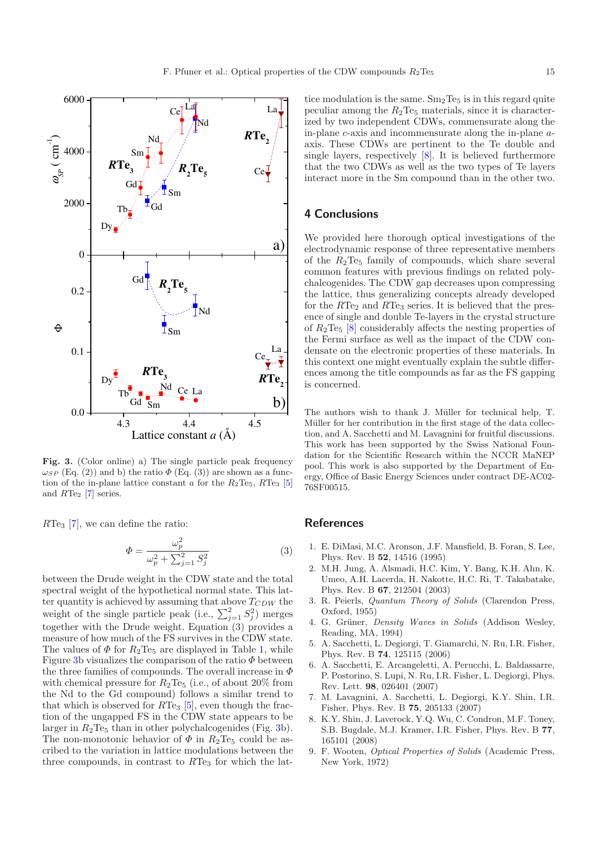

<span id="page-5-9"></span>**Fig. 3.** (Color online) a) The single particle peak frequency  $\omega_{SP}$  (Eq. (2)) and b) the ratio  $\Phi$  (Eq. (3)) are shown as a function of the in-plane lattice constant a for the  $R_2$ Te<sub>5</sub>, RTe<sub>3</sub> [\[5\]](#page-5-4) and  $RTe<sub>2</sub>$  [\[7](#page-5-5)] series.

 $RTe<sub>3</sub>$  [\[7](#page-5-5)], we can define the ratio:

$$
\Phi = \frac{\omega_p^2}{\omega_p^2 + \sum_{j=1}^2 S_j^2}
$$
\n(3)

between the Drude weight in the CDW state and the total spectral weight of the hypothetical normal state. This latter quantity is achieved by assuming that above  $T_{CDW}$  the weight of the single particle peak (i.e.,  $\sum_{j=1}^{2} S_j^2$ ) merges together with the Drude weight. Equation  $(3)$  provides a measure of how much of the FS survives in the CDW state. The values of  $\Phi$  for  $R_2$ Te<sub>5</sub> are displayed in Table [1,](#page-4-1) while Figure [3b](#page-5-9) visualizes the comparison of the ratio  $\Phi$  between the three families of compounds. The overall increase in  $\Phi$ with chemical pressure for  $R_2$ Te<sub>5</sub> (i.e., of about 20% from the Nd to the Gd compound) follows a similar trend to that which is observed for  $RTe_3$  [\[5\]](#page-5-4), even though the fraction of the ungapped FS in the CDW state appears to be larger in  $R_2$ Te<sub>5</sub> than in other polychalcogenides (Fig. [3b](#page-5-9)). The non-monotonic behavior of  $\Phi$  in  $R_2$ Te<sub>5</sub> could be ascribed to the variation in lattice modulations between the three compounds, in contrast to  $RTe<sub>3</sub>$  for which the lattice modulation is the same.  $Sm_2Te_5$  is in this regard quite peculiar among the  $R_2$ Te<sub>5</sub> materials, since it is characterized by two independent CDWs, commensurate along the in-plane c-axis and incommensurate along the in-plane aaxis. These CDWs are pertinent to the Te double and single layers, respectively [\[8](#page-5-7)]. It is believed furthermore that the two CDWs as well as the two types of Te layers interact more in the Sm compound than in the other two.

#### **4 Conclusions**

We provided here thorough optical investigations of the electrodynamic response of three representative members of the  $R_2$ Te<sub>5</sub> family of compounds, which share several common features with previous findings on related polychalcogenides. The CDW gap decreases upon compressing the lattice, thus generalizing concepts already developed for the  $RTe<sub>2</sub>$  and  $RTe<sub>3</sub>$  series. It is believed that the presence of single and double Te-layers in the crystal structure of  $R_2$ Te<sub>5</sub> [\[8](#page-5-7)] considerably affects the nesting properties of the Fermi surface as well as the impact of the CDW condensate on the electronic properties of these materials. In this context one might eventually explain the subtle differences among the title compounds as far as the FS gapping is concerned.

The authors wish to thank J. Müller for technical help, T. Müller for her contribution in the first stage of the data collection, and A. Sacchetti and M. Lavagnini for fruitful discussions. This work has been supported by the Swiss National Foundation for the Scientific Research within the NCCR MaNEP pool. This work is also supported by the Department of Energy, Office of Basic Energy Sciences under contract DE-AC02- 76SF00515.

#### **References**

- <span id="page-5-0"></span>1. E. DiMasi, M.C. Aronson, J.F. Mansfield, B. Foran, S. Lee, Phys. Rev. B **52**, 14516 (1995)
- <span id="page-5-1"></span>2. M.H. Jung, A. Alsmadi, H.C. Kim, Y. Bang, K.H. Ahn, K. Umeo, A.H. Lacerda, H. Nakotte, H.C. Ri, T. Takabatake, Phys. Rev. B **67**, 212504 (2003)
- <span id="page-5-2"></span>3. R. Peierls, *Quantum Theory of Solids* (Clarendon Press, Oxford, 1955)
- <span id="page-5-3"></span>4. G. Grüner, *Density Waves in Solids* (Addison Wesley, Reading, MA, 1994)
- <span id="page-5-4"></span>5. A. Sacchetti, L. Degiorgi, T. Giamarchi, N. Ru, I.R. Fisher, Phys. Rev. B **74**, 125115 (2006)
- <span id="page-5-6"></span>6. A. Sacchetti, E. Arcangeletti, A. Perucchi, L. Baldassarre, P. Postorino, S. Lupi, N. Ru, I.R. Fisher, L. Degiorgi, Phys. Rev. Lett. **98**, 026401 (2007)
- <span id="page-5-5"></span>7. M. Lavagnini, A. Sacchetti, L. Degiorgi, K.Y. Shin, I.R. Fisher, Phys. Rev. B **75**, 205133 (2007)
- <span id="page-5-7"></span>8. K.Y. Shin, J. Laverock, Y.Q. Wu, C. Condron, M.F. Toney, S.B. Bugdale, M.J. Kramer, I.R. Fisher, Phys. Rev. B **77**, 165101 (2008)
- <span id="page-5-8"></span>9. F. Wooten, *Optical Properties of Solids* (Academic Press, New York, 1972)